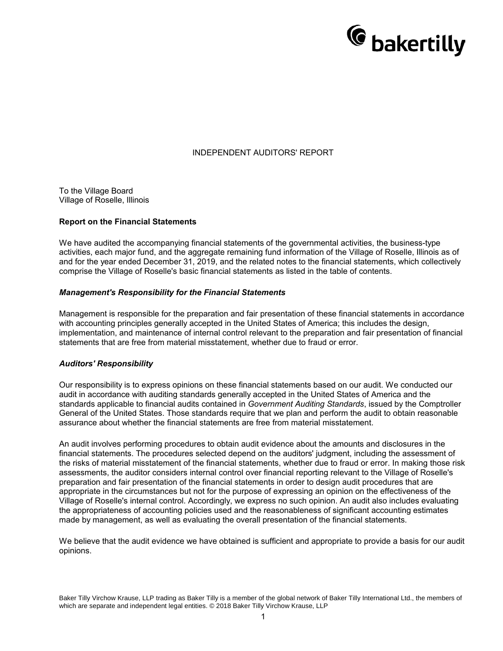

# INDEPENDENT AUDITORS' REPORT

To the Village Board Village of Roselle, Illinois

### **Report on the Financial Statements**

We have audited the accompanying financial statements of the governmental activities, the business-type activities, each major fund, and the aggregate remaining fund information of the Village of Roselle, Illinois as of and for the year ended December 31, 2019, and the related notes to the financial statements, which collectively comprise the Village of Roselle's basic financial statements as listed in the table of contents.

#### *Management's Responsibility for the Financial Statements*

Management is responsible for the preparation and fair presentation of these financial statements in accordance with accounting principles generally accepted in the United States of America; this includes the design, implementation, and maintenance of internal control relevant to the preparation and fair presentation of financial statements that are free from material misstatement, whether due to fraud or error.

### *Auditors' Responsibility*

Our responsibility is to express opinions on these financial statements based on our audit. We conducted our audit in accordance with auditing standards generally accepted in the United States of America and the standards applicable to financial audits contained in *Government Auditing Standards*, issued by the Comptroller General of the United States. Those standards require that we plan and perform the audit to obtain reasonable assurance about whether the financial statements are free from material misstatement.

An audit involves performing procedures to obtain audit evidence about the amounts and disclosures in the financial statements. The procedures selected depend on the auditors' judgment, including the assessment of the risks of material misstatement of the financial statements, whether due to fraud or error. In making those risk assessments, the auditor considers internal control over financial reporting relevant to the Village of Roselle's preparation and fair presentation of the financial statements in order to design audit procedures that are appropriate in the circumstances but not for the purpose of expressing an opinion on the effectiveness of the Village of Roselle's internal control. Accordingly, we express no such opinion. An audit also includes evaluating the appropriateness of accounting policies used and the reasonableness of significant accounting estimates made by management, as well as evaluating the overall presentation of the financial statements.

We believe that the audit evidence we have obtained is sufficient and appropriate to provide a basis for our audit opinions.

Baker Tilly Virchow Krause, LLP trading as Baker Tilly is a member of the global network of Baker Tilly International Ltd., the members of which are separate and independent legal entities. © 2018 Baker Tilly Virchow Krause, LLP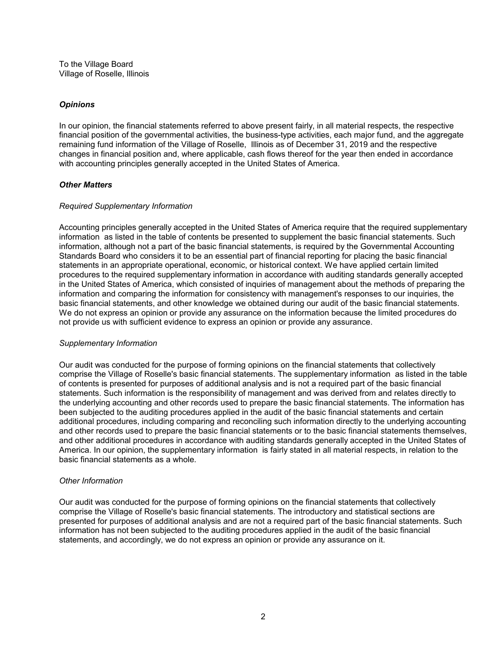To the Village Board Village of Roselle, Illinois

# *Opinions*

In our opinion, the financial statements referred to above present fairly, in all material respects, the respective financial position of the governmental activities, the business-type activities, each major fund, and the aggregate remaining fund information of the Village of Roselle, Illinois as of December 31, 2019 and the respective changes in financial position and, where applicable, cash flows thereof for the year then ended in accordance with accounting principles generally accepted in the United States of America.

### *Other Matters*

# *Required Supplementary Information*

Accounting principles generally accepted in the United States of America require that the required supplementary information as listed in the table of contents be presented to supplement the basic financial statements. Such information, although not a part of the basic financial statements, is required by the Governmental Accounting Standards Board who considers it to be an essential part of financial reporting for placing the basic financial statements in an appropriate operational, economic, or historical context. We have applied certain limited procedures to the required supplementary information in accordance with auditing standards generally accepted in the United States of America, which consisted of inquiries of management about the methods of preparing the information and comparing the information for consistency with management's responses to our inquiries, the basic financial statements, and other knowledge we obtained during our audit of the basic financial statements. We do not express an opinion or provide any assurance on the information because the limited procedures do not provide us with sufficient evidence to express an opinion or provide any assurance.

### *Supplementary Information*

Our audit was conducted for the purpose of forming opinions on the financial statements that collectively comprise the Village of Roselle's basic financial statements. The supplementary information as listed in the table of contents is presented for purposes of additional analysis and is not a required part of the basic financial statements. Such information is the responsibility of management and was derived from and relates directly to the underlying accounting and other records used to prepare the basic financial statements. The information has been subjected to the auditing procedures applied in the audit of the basic financial statements and certain additional procedures, including comparing and reconciling such information directly to the underlying accounting and other records used to prepare the basic financial statements or to the basic financial statements themselves, and other additional procedures in accordance with auditing standards generally accepted in the United States of America. In our opinion, the supplementary information is fairly stated in all material respects, in relation to the basic financial statements as a whole.

### *Other Information*

Our audit was conducted for the purpose of forming opinions on the financial statements that collectively comprise the Village of Roselle's basic financial statements. The introductory and statistical sections are presented for purposes of additional analysis and are not a required part of the basic financial statements. Such information has not been subjected to the auditing procedures applied in the audit of the basic financial statements, and accordingly, we do not express an opinion or provide any assurance on it.